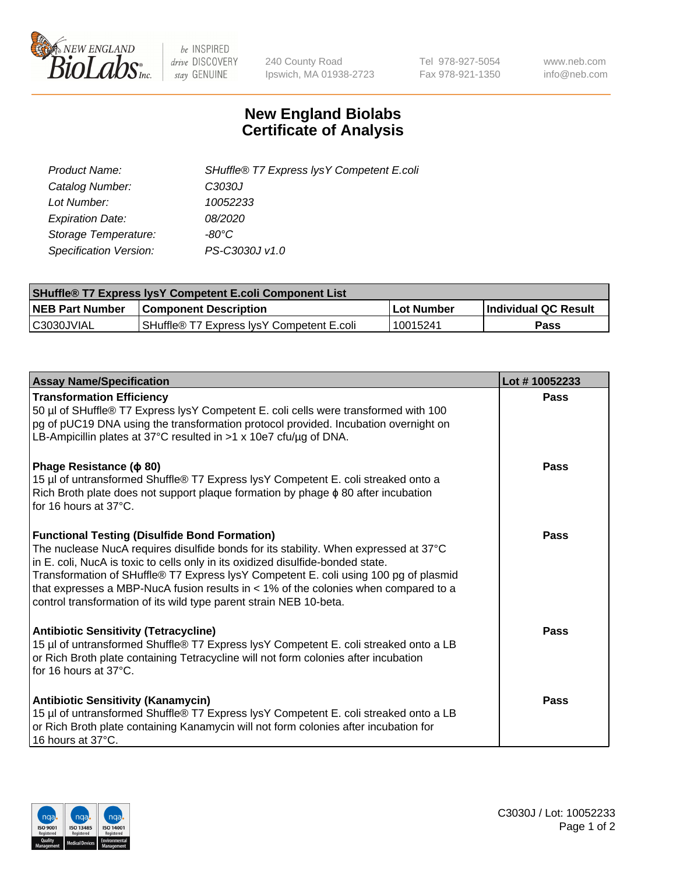

 $be$  INSPIRED drive DISCOVERY stay GENUINE

240 County Road Ipswich, MA 01938-2723 Tel 978-927-5054 Fax 978-921-1350 www.neb.com info@neb.com

## **New England Biolabs Certificate of Analysis**

| SHuffle® T7 Express lysY Competent E.coli |
|-------------------------------------------|
| C3030J                                    |
| 10052233                                  |
| 08/2020                                   |
| -80°C                                     |
| PS-C3030J v1.0                            |
|                                           |

| <b>SHuffle<sup>®</sup> T7 Express lysY Competent E.coli Component List</b> |                                           |            |                      |  |
|----------------------------------------------------------------------------|-------------------------------------------|------------|----------------------|--|
| <b>NEB Part Number</b>                                                     | <b>Component Description</b>              | Lot Number | Individual QC Result |  |
| C3030JVIAL                                                                 | SHuffle® T7 Express IvsY Competent E.coli | 10015241   | Pass                 |  |

| <b>Assay Name/Specification</b>                                                                                                                                                                                                                                                                                                                                                                                                                                                      | Lot #10052233 |
|--------------------------------------------------------------------------------------------------------------------------------------------------------------------------------------------------------------------------------------------------------------------------------------------------------------------------------------------------------------------------------------------------------------------------------------------------------------------------------------|---------------|
| <b>Transformation Efficiency</b><br>50 µl of SHuffle® T7 Express lysY Competent E. coli cells were transformed with 100<br>pg of pUC19 DNA using the transformation protocol provided. Incubation overnight on<br>LB-Ampicillin plates at 37°C resulted in >1 x 10e7 cfu/ug of DNA.                                                                                                                                                                                                  | Pass          |
| Phage Resistance ( $\phi$ 80)<br>15 µl of untransformed Shuffle® T7 Express lysY Competent E. coli streaked onto a<br>Rich Broth plate does not support plaque formation by phage $\phi$ 80 after incubation<br>for 16 hours at 37°C.                                                                                                                                                                                                                                                | Pass          |
| <b>Functional Testing (Disulfide Bond Formation)</b><br>The nuclease NucA requires disulfide bonds for its stability. When expressed at 37°C<br>in E. coli, NucA is toxic to cells only in its oxidized disulfide-bonded state.<br>Transformation of SHuffle® T7 Express lysY Competent E. coli using 100 pg of plasmid<br>that expresses a MBP-NucA fusion results in < 1% of the colonies when compared to a<br>control transformation of its wild type parent strain NEB 10-beta. | Pass          |
| <b>Antibiotic Sensitivity (Tetracycline)</b><br>15 µl of untransformed Shuffle® T7 Express lysY Competent E. coli streaked onto a LB<br>or Rich Broth plate containing Tetracycline will not form colonies after incubation<br>for 16 hours at 37°C.                                                                                                                                                                                                                                 | Pass          |
| <b>Antibiotic Sensitivity (Kanamycin)</b><br>15 µl of untransformed Shuffle® T7 Express lysY Competent E. coli streaked onto a LB<br>or Rich Broth plate containing Kanamycin will not form colonies after incubation for<br>16 hours at 37°C.                                                                                                                                                                                                                                       | Pass          |